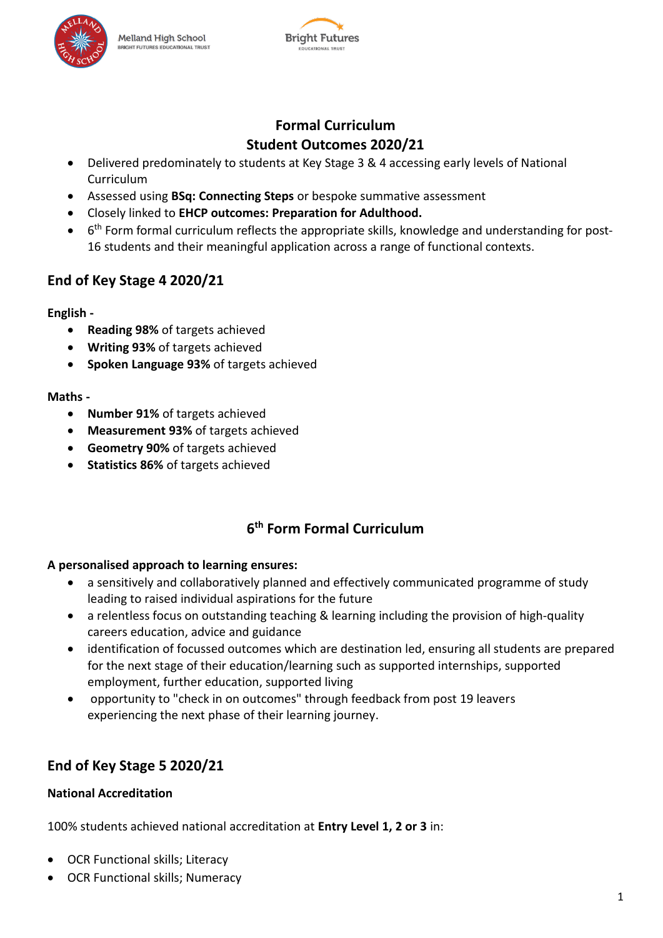

### **Formal Curriculum Student Outcomes 2020/21**

- Delivered predominately to students at Key Stage 3 & 4 accessing early levels of National Curriculum
- Assessed using **BSq: Connecting Steps** or bespoke summative assessment
- Closely linked to **EHCP outcomes: Preparation for Adulthood.**
- 6<sup>th</sup> Form formal curriculum reflects the appropriate skills, knowledge and understanding for post-16 students and their meaningful application across a range of functional contexts.

# **End of Key Stage 4 2020/21**

#### **English -**

- **Reading 98%** of targets achieved
- **Writing 93%** of targets achieved
- **Spoken Language 93%** of targets achieved

#### **Maths -**

- **Number 91%** of targets achieved
- **Measurement 93%** of targets achieved
- **Geometry 90%** of targets achieved
- **Statistics 86%** of targets achieved

# **6 th Form Formal Curriculum**

### **A personalised approach to learning ensures:**

- a sensitively and collaboratively planned and effectively communicated programme of study leading to raised individual aspirations for the future
- a relentless focus on outstanding teaching & learning including the provision of high-quality careers education, advice and guidance
- identification of focussed outcomes which are destination led, ensuring all students are prepared for the next stage of their education/learning such as supported internships, supported employment, further education, supported living
- opportunity to "check in on outcomes" through feedback from post 19 leavers experiencing the next phase of their learning journey.

# **End of Key Stage 5 2020/21**

### **National Accreditation**

100% students achieved national accreditation at **Entry Level 1, 2 or 3** in:

- OCR Functional skills; Literacy
- OCR Functional skills; Numeracy